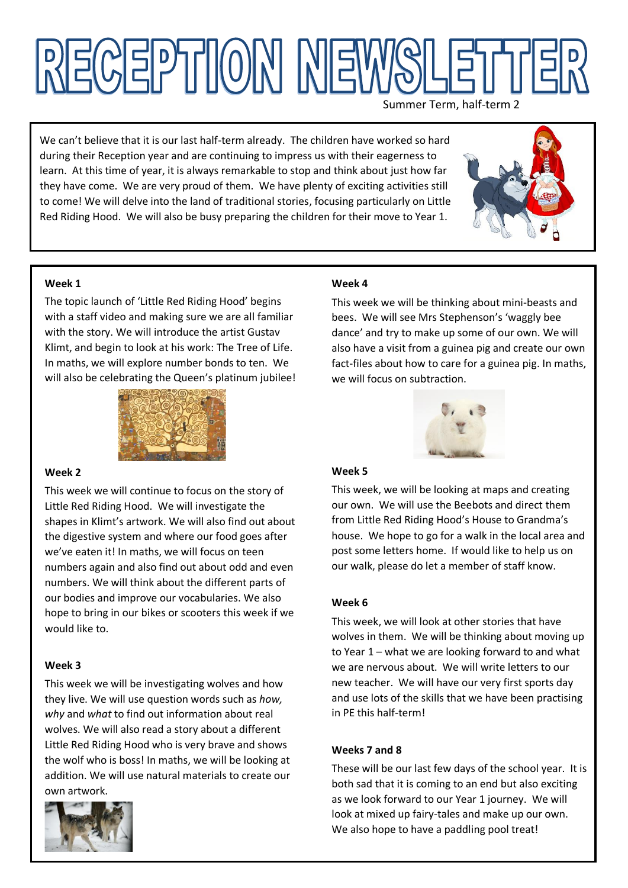# NECEPTION NEW

Summer Term, half-term 2

We can't believe that it is our last half-term already. The children have worked so hard during their Reception year and are continuing to impress us with their eagerness to learn. At this time of year, it is always remarkable to stop and think about just how far they have come. We are very proud of them. We have plenty of exciting activities still to come! We will delve into the land of traditional stories, focusing particularly on Little Red Riding Hood. We will also be busy preparing the children for their move to Year 1.



## **Week 1**

The topic launch of 'Little Red Riding Hood' begins with a staff video and making sure we are all familiar with the story. We will introduce the artist Gustav Klimt, and begin to look at his work: The Tree of Life. In maths, we will explore number bonds to ten. We will also be celebrating the Queen's platinum jubilee!



#### **Week 2**

This week we will continue to focus on the story of Little Red Riding Hood. We will investigate the shapes in Klimt's artwork. We will also find out about the digestive system and where our food goes after we've eaten it! In maths, we will focus on teen numbers again and also find out about odd and even numbers. We will think about the different parts of our bodies and improve our vocabularies. We also hope to bring in our bikes or scooters this week if we would like to.

# **Week 3**

This week we will be investigating wolves and how they live. We will use question words such as *how, why* and *what* to find out information about real wolves. We will also read a story about a different Little Red Riding Hood who is very brave and shows the wolf who is boss! In maths, we will be looking at addition. We will use natural materials to create our own artwork.



## **Week 4**

This week we will be thinking about mini-beasts and bees. We will see Mrs Stephenson's 'waggly bee dance' and try to make up some of our own. We will also have a visit from a guinea pig and create our own fact-files about how to care for a guinea pig. In maths, we will focus on subtraction.



# **Week 5**

This week, we will be looking at maps and creating our own. We will use the Beebots and direct them from Little Red Riding Hood's House to Grandma's house. We hope to go for a walk in the local area and post some letters home. If would like to help us on our walk, please do let a member of staff know.

#### **Week 6**

This week, we will look at other stories that have wolves in them. We will be thinking about moving up to Year 1 – what we are looking forward to and what we are nervous about. We will write letters to our new teacher. We will have our very first sports day and use lots of the skills that we have been practising in PE this half-term!

#### **Weeks 7 and 8**

These will be our last few days of the school year. It is both sad that it is coming to an end but also exciting as we look forward to our Year 1 journey. We will look at mixed up fairy-tales and make up our own. We also hope to have a paddling pool treat!